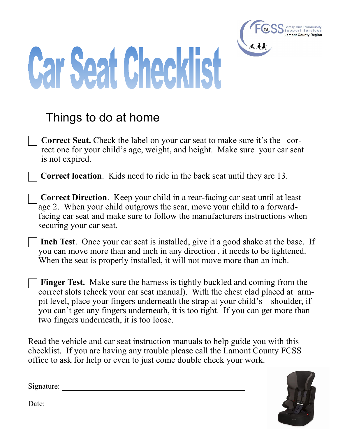

## **Car Seat Checklist**

## Things to do at home

**Correct Seat.** Check the label on your car seat to make sure it's the correct one for your child's age, weight, and height. Make sure your car seat is not expired.

**Correct location**. Kids need to ride in the back seat until they are 13.

- **Correct Direction**. Keep your child in a rear-facing car seat until at least age 2. When your child outgrows the sear, move your child to a forwardfacing car seat and make sure to follow the manufacturers instructions when securing your car seat.
- **Inch Test**. Once your car seat is installed, give it a good shake at the base. If you can move more than and inch in any direction , it needs to be tightened. When the seat is properly installed, it will not move more than an inch.
- **Finger Test.** Make sure the harness is tightly buckled and coming from the correct slots (check your car seat manual). With the chest clad placed at armpit level, place your fingers underneath the strap at your child's shoulder, if you can't get any fingers underneath, it is too tight. If you can get more than two fingers underneath, it is too loose.

Read the vehicle and car seat instruction manuals to help guide you with this checklist. If you are having any trouble please call the Lamont County FCSS office to ask for help or even to just come double check your work.



Signature:

Date: